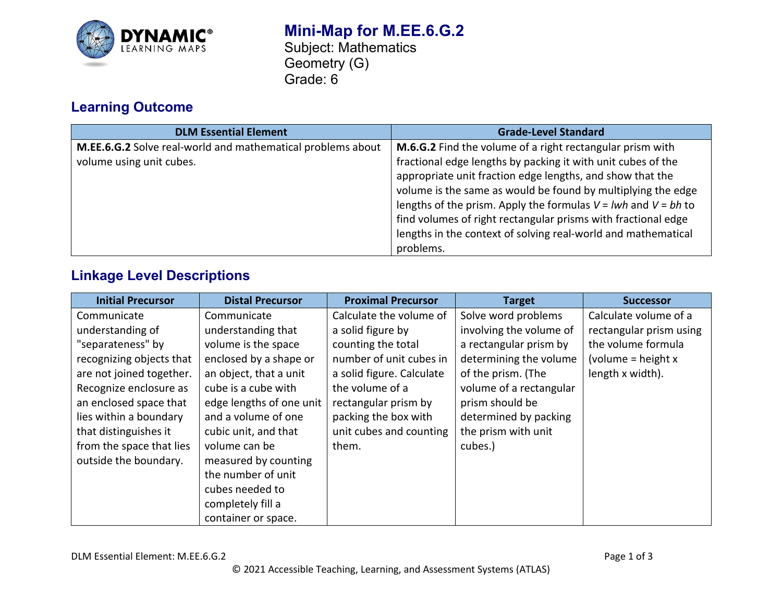

## **Mini-Map for M.EE.6.G.2** Subject: Mathematics Geometry (G) Grade: 6

# **Learning Outcome**

| <b>DLM Essential Element</b>                                | <b>Grade-Level Standard</b>                                        |
|-------------------------------------------------------------|--------------------------------------------------------------------|
| M.EE.6.G.2 Solve real-world and mathematical problems about | M.6.G.2 Find the volume of a right rectangular prism with          |
| volume using unit cubes.                                    | fractional edge lengths by packing it with unit cubes of the       |
|                                                             | appropriate unit fraction edge lengths, and show that the          |
|                                                             | volume is the same as would be found by multiplying the edge       |
|                                                             | lengths of the prism. Apply the formulas $V = lwh$ and $V = bh$ to |
|                                                             | find volumes of right rectangular prisms with fractional edge      |
|                                                             | lengths in the context of solving real-world and mathematical      |
|                                                             | problems.                                                          |

## **Linkage Level Descriptions**

| <b>Initial Precursor</b> | <b>Distal Precursor</b>  | <b>Proximal Precursor</b> | <b>Target</b>           | <b>Successor</b>        |
|--------------------------|--------------------------|---------------------------|-------------------------|-------------------------|
| Communicate              | Communicate              | Calculate the volume of   | Solve word problems     | Calculate volume of a   |
| understanding of         | understanding that       | a solid figure by         | involving the volume of | rectangular prism using |
| "separateness" by        | volume is the space      | counting the total        | a rectangular prism by  | the volume formula      |
| recognizing objects that | enclosed by a shape or   | number of unit cubes in   | determining the volume  | (volume = height $x$    |
| are not joined together. | an object, that a unit   | a solid figure. Calculate | of the prism. (The      | length x width).        |
| Recognize enclosure as   | cube is a cube with      | the volume of a           | volume of a rectangular |                         |
| an enclosed space that   | edge lengths of one unit | rectangular prism by      | prism should be         |                         |
| lies within a boundary   | and a volume of one      | packing the box with      | determined by packing   |                         |
| that distinguishes it    | cubic unit, and that     | unit cubes and counting   | the prism with unit     |                         |
| from the space that lies | volume can be            | them.                     | cubes.)                 |                         |
| outside the boundary.    | measured by counting     |                           |                         |                         |
|                          | the number of unit       |                           |                         |                         |
|                          | cubes needed to          |                           |                         |                         |
|                          | completely fill a        |                           |                         |                         |
|                          | container or space.      |                           |                         |                         |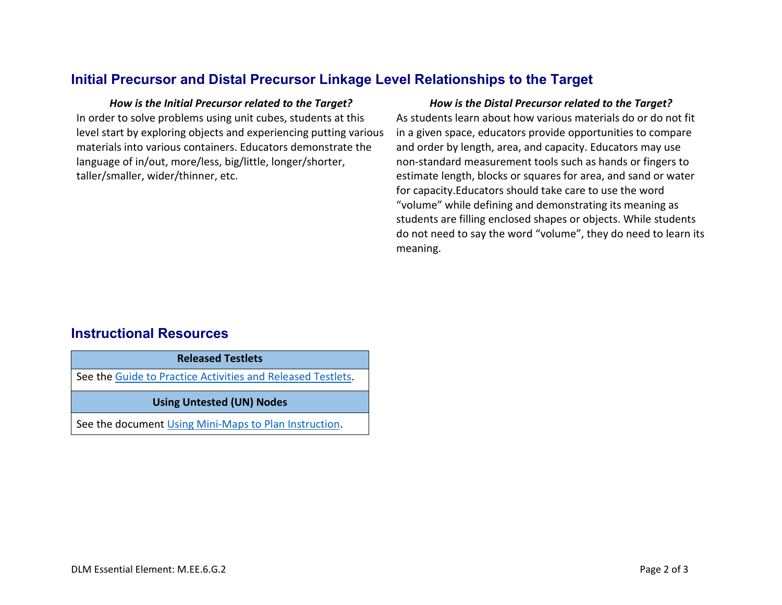### **Initial Precursor and Distal Precursor Linkage Level Relationships to the Target**

In order to solve problems using unit cubes, students at this level start by exploring objects and experiencing putting various materials into various containers. Educators demonstrate the language of in/out, more/less, big/little, longer/shorter, taller/smaller, wider/thinner, etc.

#### *How is the Initial Precursor related to the Target? How is the Distal Precursor related to the Target?*

As students learn about how various materials do or do not fit in a given space, educators provide opportunities to compare and order by length, area, and capacity. Educators may use non-standard measurement tools such as hands or fingers to estimate length, blocks or squares for area, and sand or water for capacity.Educators should take care to use the word "volume" while defining and demonstrating its meaning as students are filling enclosed shapes or objects. While students do not need to say the word "volume", they do need to learn its meaning.

### **Instructional Resources**

**Released Testlets**

See the [Guide to Practice Activities and Released Testlets.](https://dynamiclearningmaps.org/sites/default/files/documents/Manuals_Blueprints/Guide_to_Practice_Activities_and_Released_Testlets.pdf)

#### **Using Untested (UN) Nodes**

See the document [Using Mini-Maps to Plan Instruction.](https://dynamiclearningmaps.org/sites/default/files/documents/Using_Mini_Maps_to_Plan_Instruction.pdf)